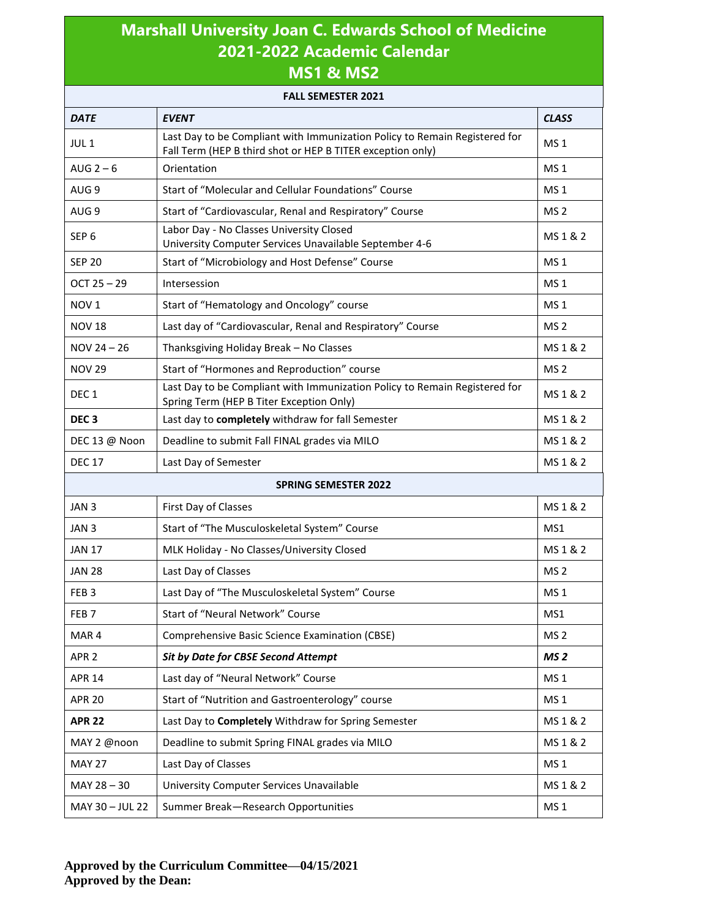## **Marshall University Joan C. Edwards School of Medicine 2021-2022 Academic Calendar MS1 & MS2**

| <b>FALL SEMESTER 2021</b>   |                                                                                                                                          |                 |  |  |
|-----------------------------|------------------------------------------------------------------------------------------------------------------------------------------|-----------------|--|--|
| <b>DATE</b>                 | <b>EVENT</b>                                                                                                                             | <b>CLASS</b>    |  |  |
| JUL <sub>1</sub>            | Last Day to be Compliant with Immunization Policy to Remain Registered for<br>Fall Term (HEP B third shot or HEP B TITER exception only) |                 |  |  |
| AUG $2-6$                   | Orientation                                                                                                                              |                 |  |  |
| AUG <sub>9</sub>            | Start of "Molecular and Cellular Foundations" Course                                                                                     | MS <sub>1</sub> |  |  |
| AUG <sub>9</sub>            | Start of "Cardiovascular, Renal and Respiratory" Course                                                                                  |                 |  |  |
| SEP <sub>6</sub>            | Labor Day - No Classes University Closed<br>University Computer Services Unavailable September 4-6                                       |                 |  |  |
| <b>SEP 20</b>               | Start of "Microbiology and Host Defense" Course                                                                                          |                 |  |  |
| $OCT 25 - 29$               | Intersession                                                                                                                             |                 |  |  |
| NOV <sub>1</sub>            | Start of "Hematology and Oncology" course                                                                                                |                 |  |  |
| <b>NOV 18</b>               | Last day of "Cardiovascular, Renal and Respiratory" Course                                                                               |                 |  |  |
| $NOV 24 - 26$               | Thanksgiving Holiday Break - No Classes                                                                                                  | MS 1 & 2        |  |  |
| <b>NOV 29</b>               | Start of "Hormones and Reproduction" course                                                                                              | MS <sub>2</sub> |  |  |
| DEC <sub>1</sub>            | Last Day to be Compliant with Immunization Policy to Remain Registered for<br>Spring Term (HEP B Titer Exception Only)                   | MS 1 & 2        |  |  |
| DEC <sub>3</sub>            | Last day to completely withdraw for fall Semester                                                                                        | MS 1 & 2        |  |  |
| DEC 13 @ Noon               | Deadline to submit Fall FINAL grades via MILO                                                                                            | MS 1 & 2        |  |  |
| <b>DEC 17</b>               | Last Day of Semester                                                                                                                     | MS 1 & 2        |  |  |
| <b>SPRING SEMESTER 2022</b> |                                                                                                                                          |                 |  |  |
| JAN <sub>3</sub>            | First Day of Classes                                                                                                                     | MS 1 & 2        |  |  |
| JAN <sub>3</sub>            | Start of "The Musculoskeletal System" Course                                                                                             | MS1             |  |  |
| <b>JAN 17</b>               | MLK Holiday - No Classes/University Closed                                                                                               | MS 1 & 2        |  |  |
| <b>JAN 28</b>               | Last Day of Classes                                                                                                                      | MS <sub>2</sub> |  |  |
| FEB <sub>3</sub>            | Last Day of "The Musculoskeletal System" Course                                                                                          | MS <sub>1</sub> |  |  |
| FEB <sub>7</sub>            | Start of "Neural Network" Course                                                                                                         | MS1             |  |  |
| MAR4                        | Comprehensive Basic Science Examination (CBSE)                                                                                           | MS <sub>2</sub> |  |  |
| APR <sub>2</sub>            | <b>Sit by Date for CBSE Second Attempt</b>                                                                                               | MS <sub>2</sub> |  |  |
| <b>APR 14</b>               | Last day of "Neural Network" Course                                                                                                      | MS <sub>1</sub> |  |  |
| <b>APR 20</b>               | Start of "Nutrition and Gastroenterology" course                                                                                         | MS <sub>1</sub> |  |  |
| <b>APR 22</b>               | Last Day to Completely Withdraw for Spring Semester                                                                                      | MS 1 & 2        |  |  |
| MAY 2 @noon                 | Deadline to submit Spring FINAL grades via MILO                                                                                          | MS 1 & 2        |  |  |
| <b>MAY 27</b>               | Last Day of Classes                                                                                                                      | MS <sub>1</sub> |  |  |
| MAY 28 - 30                 | University Computer Services Unavailable                                                                                                 | MS 1 & 2        |  |  |
| MAY 30 - JUL 22             | Summer Break-Research Opportunities                                                                                                      | MS <sub>1</sub> |  |  |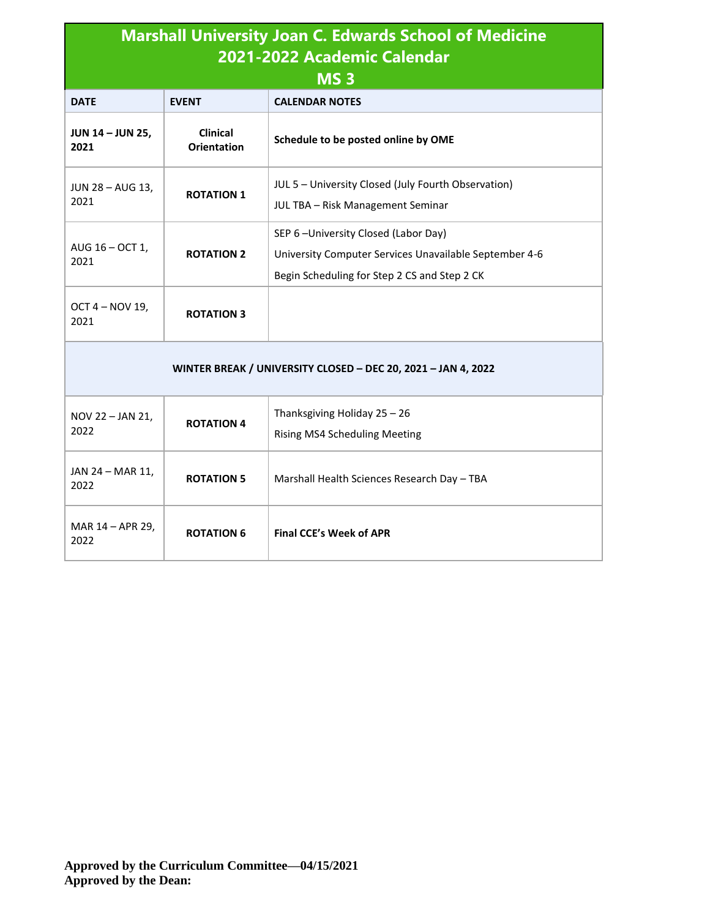| <b>Marshall University Joan C. Edwards School of Medicine</b><br>2021-2022 Academic Calendar<br>MS <sub>3</sub> |                                       |                                                                                                                                               |  |  |
|-----------------------------------------------------------------------------------------------------------------|---------------------------------------|-----------------------------------------------------------------------------------------------------------------------------------------------|--|--|
| <b>DATE</b>                                                                                                     | <b>EVENT</b>                          | <b>CALENDAR NOTES</b>                                                                                                                         |  |  |
| <b>JUN 14 - JUN 25,</b><br>2021                                                                                 | <b>Clinical</b><br><b>Orientation</b> | Schedule to be posted online by OME                                                                                                           |  |  |
| JUN 28 - AUG 13,<br>2021                                                                                        | <b>ROTATION 1</b>                     | JUL 5 - University Closed (July Fourth Observation)<br>JUL TBA - Risk Management Seminar                                                      |  |  |
| AUG $16 - OCT$ 1,<br>2021                                                                                       | <b>ROTATION 2</b>                     | SEP 6-University Closed (Labor Day)<br>University Computer Services Unavailable September 4-6<br>Begin Scheduling for Step 2 CS and Step 2 CK |  |  |
| OCT 4 - NOV 19,<br>2021                                                                                         | <b>ROTATION 3</b>                     |                                                                                                                                               |  |  |
| WINTER BREAK / UNIVERSITY CLOSED - DEC 20, 2021 - JAN 4, 2022                                                   |                                       |                                                                                                                                               |  |  |
| NOV 22 - JAN 21,<br>2022                                                                                        | <b>ROTATION 4</b>                     | Thanksgiving Holiday 25 - 26<br>Rising MS4 Scheduling Meeting                                                                                 |  |  |
| JAN 24 - MAR 11,<br>2022                                                                                        | <b>ROTATION 5</b>                     | Marshall Health Sciences Research Day - TBA                                                                                                   |  |  |
| MAR 14 - APR 29,<br>2022                                                                                        | <b>ROTATION 6</b>                     | <b>Final CCE's Week of APR</b>                                                                                                                |  |  |